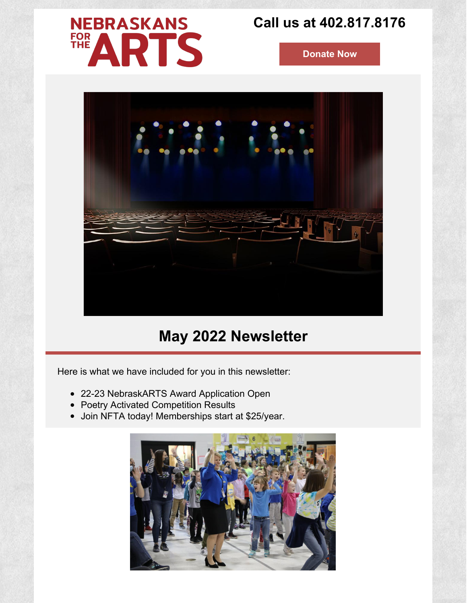# **NEBRASKANS** FOR<br>THE ARTS

# **Call us at 402.817.8176**

**[Donate](https://www.nebraskansforthearts.org/membership/donations/) Now**



# **May 2022 Newsletter**

Here is what we have included for you in this newsletter:

- 22-23 NebraskARTS Award Application Open
- Poetry Activated Competition Results
- Join NFTA today! Memberships start at \$25/year.

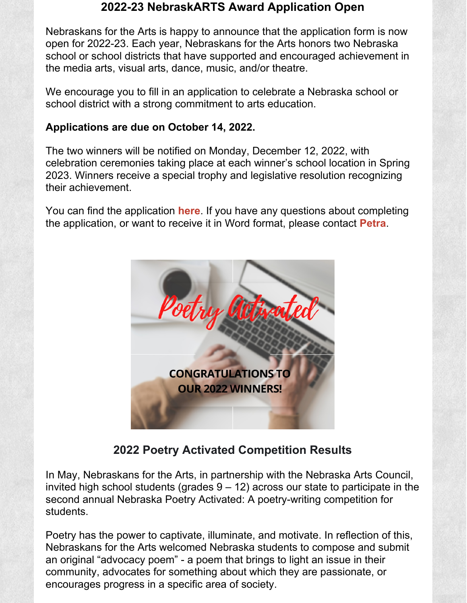### **2022-23 NebraskARTS Award Application Open**

Nebraskans for the Arts is happy to announce that the application form is now open for 2022-23. Each year, Nebraskans for the Arts honors two Nebraska school or school districts that have supported and encouraged achievement in the media arts, visual arts, dance, music, and/or theatre.

We encourage you to fill in an application to celebrate a Nebraska school or school district with a strong commitment to arts education.

#### **Applications are due on October 14, 2022.**

The two winners will be notified on Monday, December 12, 2022, with celebration ceremonies taking place at each winner's school location in Spring 2023. Winners receive a special trophy and legislative resolution recognizing their achievement.

You can find the application **[here](https://www.nebraskansforthearts.org/programs/nebraskarts/)**. If you have any questions about completing the application, or want to receive it in Word format, please contact **[Petra](mailto:petra@nebraskansforthearts.org)**.



**2022 Poetry Activated Competition Results**

In May, Nebraskans for the Arts, in partnership with the Nebraska Arts Council, invited high school students (grades  $9 - 12$ ) across our state to participate in the second annual Nebraska Poetry Activated: A poetry-writing competition for students.

Poetry has the power to captivate, illuminate, and motivate. In reflection of this, Nebraskans for the Arts welcomed Nebraska students to compose and submit an original "advocacy poem" - a poem that brings to light an issue in their community, advocates for something about which they are passionate, or encourages progress in a specific area of society.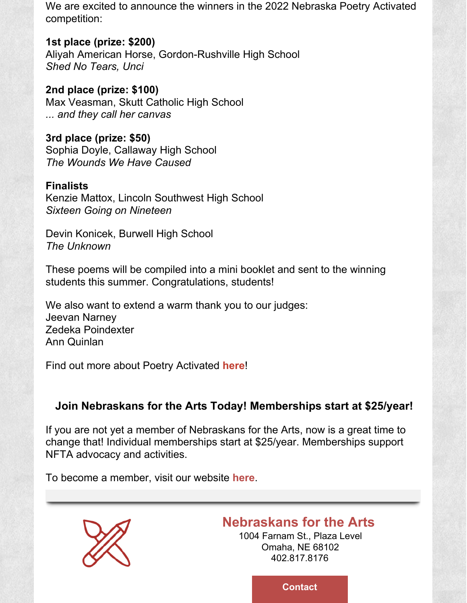We are excited to announce the winners in the 2022 Nebraska Poetry Activated competition:

**1st place (prize: \$200)**

Aliyah American Horse, Gordon-Rushville High School *Shed No Tears, Unci*

**2nd place (prize: \$100)** Max Veasman, Skutt Catholic High School *... and they call her canvas*

**3rd place (prize: \$50)** Sophia Doyle, Callaway High School *The Wounds We Have Caused*

### **Finalists**

Kenzie Mattox, Lincoln Southwest High School *Sixteen Going on Nineteen*

Devin Konicek, Burwell High School *The Unknown*

These poems will be compiled into a mini booklet and sent to the winning students this summer. Congratulations, students!

We also want to extend a warm thank you to our judges: Jeevan Narney Zedeka Poindexter Ann Quinlan

Find out more about Poetry Activated **[here](https://www.nebraskansforthearts.org/programs/poetry-out-loud/nebraska-poetry-activated-competition/)**!

## **Join Nebraskans for the Arts Today! Memberships start at \$25/year!**

If you are not yet a member of Nebraskans for the Arts, now is a great time to change that! Individual memberships start at \$25/year. Memberships support NFTA advocacy and activities.

To become a member, visit our website **[here](https://www.nebraskansforthearts.org/membership/)**.



## **[Nebraskans](https://www.nebraskansforthearts.org/) for the Arts**

1004 Farnam St., Plaza Level Omaha, NE 68102 402.817.8176

**[Contact](http://info@nebraskansforthearts.org)**